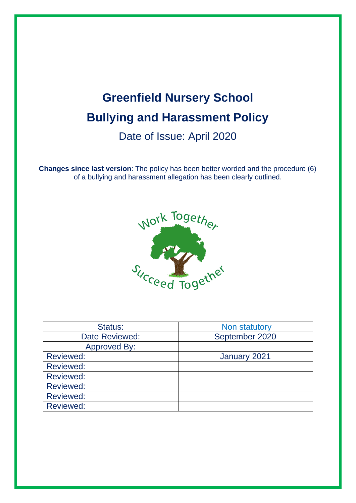# **Greenfield Nursery School Bullying and Harassment Policy** Date of Issue: April 2020

**Changes since last version**: The policy has been better worded and the procedure (6) of a bullying and harassment allegation has been clearly outlined.



| Status:          | Non statutory  |
|------------------|----------------|
| Date Reviewed:   | September 2020 |
| Approved By:     |                |
| <b>Reviewed:</b> | January 2021   |
| <b>Reviewed:</b> |                |
| <b>Reviewed:</b> |                |
| <b>Reviewed:</b> |                |
| <b>Reviewed:</b> |                |
| <b>Reviewed:</b> |                |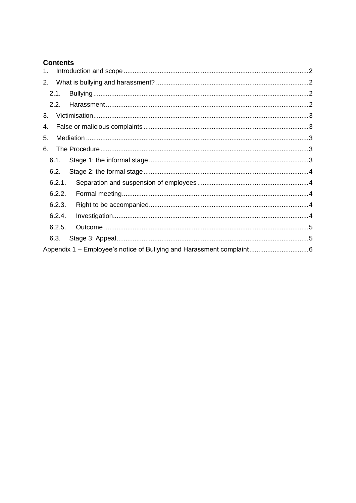# **Contents**

| 1 <sub>1</sub> |        |  |
|----------------|--------|--|
| 2.             |        |  |
|                | 2.1.   |  |
|                | 2.2.   |  |
| 3.             |        |  |
| 4.             |        |  |
| 5.             |        |  |
| 6.             |        |  |
|                | 6.1.   |  |
|                | 6.2.   |  |
|                | 6.2.1. |  |
|                | 6.2.2. |  |
|                | 6.2.3. |  |
|                | 6.2.4. |  |
|                | 6.2.5. |  |
|                | 6.3.   |  |
|                |        |  |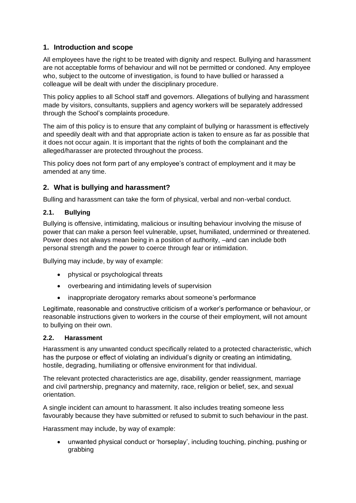# <span id="page-2-0"></span>**1. Introduction and scope**

All employees have the right to be treated with dignity and respect. Bullying and harassment are not acceptable forms of behaviour and will not be permitted or condoned. Any employee who, subject to the outcome of investigation, is found to have bullied or harassed a colleague will be dealt with under the disciplinary procedure.

This policy applies to all School staff and governors. Allegations of bullying and harassment made by visitors, consultants, suppliers and agency workers will be separately addressed through the School's complaints procedure.

The aim of this policy is to ensure that any complaint of bullying or harassment is effectively and speedily dealt with and that appropriate action is taken to ensure as far as possible that it does not occur again. It is important that the rights of both the complainant and the alleged/harasser are protected throughout the process.

This policy does not form part of any employee's contract of employment and it may be amended at any time.

# <span id="page-2-1"></span>**2. What is bullying and harassment?**

Bulling and harassment can take the form of physical, verbal and non-verbal conduct.

## <span id="page-2-2"></span>**2.1. Bullying**

Bullying is offensive, intimidating, malicious or insulting behaviour involving the misuse of power that can make a person feel vulnerable, upset, humiliated, undermined or threatened. Power does not always mean being in a position of authority, –and can include both personal strength and the power to coerce through fear or intimidation.

Bullying may include, by way of example:

- physical or psychological threats
- overbearing and intimidating levels of supervision
- inappropriate derogatory remarks about someone's performance

Legitimate, reasonable and constructive criticism of a worker's performance or behaviour, or reasonable instructions given to workers in the course of their employment, will not amount to bullying on their own.

#### <span id="page-2-3"></span>**2.2. Harassment**

Harassment is any unwanted conduct specifically related to a protected characteristic, which has the purpose or effect of violating an individual's dignity or creating an intimidating, hostile, degrading, humiliating or offensive environment for that individual.

The relevant protected characteristics are age, disability, gender reassignment, marriage and civil partnership, pregnancy and maternity, race, religion or belief, sex, and sexual orientation.

A single incident can amount to harassment. It also includes treating someone less favourably because they have submitted or refused to submit to such behaviour in the past.

Harassment may include, by way of example:

• unwanted physical conduct or 'horseplay', including touching, pinching, pushing or grabbing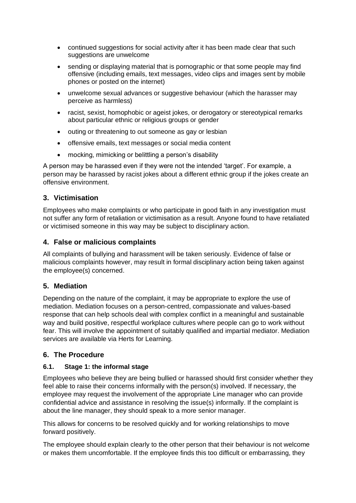- continued suggestions for social activity after it has been made clear that such suggestions are unwelcome
- sending or displaying material that is pornographic or that some people may find offensive (including emails, text messages, video clips and images sent by mobile phones or posted on the internet)
- unwelcome sexual advances or suggestive behaviour (which the harasser may perceive as harmless)
- racist, sexist, homophobic or ageist jokes, or derogatory or stereotypical remarks about particular ethnic or religious groups or gender
- outing or threatening to out someone as gay or lesbian
- offensive emails, text messages or social media content
- mocking, mimicking or belittling a person's disability

A person may be harassed even if they were not the intended 'target'. For example, a person may be harassed by racist jokes about a different ethnic group if the jokes create an offensive environment.

# <span id="page-3-0"></span>**3. Victimisation**

Employees who make complaints or who participate in good faith in any investigation must not suffer any form of retaliation or victimisation as a result. Anyone found to have retaliated or victimised someone in this way may be subject to disciplinary action.

# <span id="page-3-1"></span>**4. False or malicious complaints**

All complaints of bullying and harassment will be taken seriously. Evidence of false or malicious complaints however, may result in formal disciplinary action being taken against the employee(s) concerned.

## <span id="page-3-2"></span>**5. Mediation**

Depending on the nature of the complaint, it may be appropriate to explore the use of mediation. Mediation focuses on a person-centred, compassionate and values-based response that can help schools deal with complex conflict in a meaningful and sustainable way and build positive, respectful workplace cultures where people can go to work without fear. This will involve the appointment of suitably qualified and impartial mediator. Mediation services are available via Herts for Learning.

# <span id="page-3-3"></span>**6. The Procedure**

## <span id="page-3-4"></span>**6.1. Stage 1: the informal stage**

Employees who believe they are being bullied or harassed should first consider whether they feel able to raise their concerns informally with the person(s) involved. If necessary, the employee may request the involvement of the appropriate Line manager who can provide confidential advice and assistance in resolving the issue(s) informally. If the complaint is about the line manager, they should speak to a more senior manager.

This allows for concerns to be resolved quickly and for working relationships to move forward positively.

The employee should explain clearly to the other person that their behaviour is not welcome or makes them uncomfortable. If the employee finds this too difficult or embarrassing, they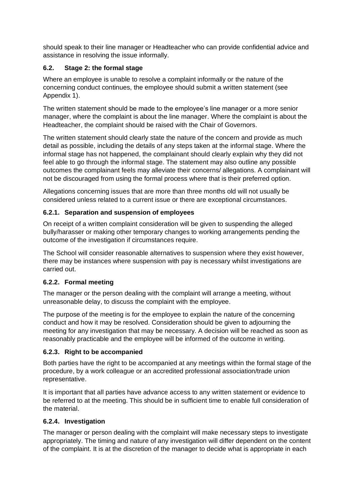should speak to their line manager or Headteacher who can provide confidential advice and assistance in resolving the issue informally.

# <span id="page-4-0"></span>**6.2. Stage 2: the formal stage**

Where an employee is unable to resolve a complaint informally or the nature of the concerning conduct continues, the employee should submit a written statement (see Appendix 1).

The written statement should be made to the employee's line manager or a more senior manager, where the complaint is about the line manager. Where the complaint is about the Headteacher, the complaint should be raised with the Chair of Governors.

The written statement should clearly state the nature of the concern and provide as much detail as possible, including the details of any steps taken at the informal stage. Where the informal stage has not happened, the complainant should clearly explain why they did not feel able to go through the informal stage. The statement may also outline any possible outcomes the complainant feels may alleviate their concerns/ allegations. A complainant will not be discouraged from using the formal process where that is their preferred option.

Allegations concerning issues that are more than three months old will not usually be considered unless related to a current issue or there are exceptional circumstances.

# <span id="page-4-1"></span>**6.2.1. Separation and suspension of employees**

On receipt of a written complaint consideration will be given to suspending the alleged bully/harasser or making other temporary changes to working arrangements pending the outcome of the investigation if circumstances require.

The School will consider reasonable alternatives to suspension where they exist however, there may be instances where suspension with pay is necessary whilst investigations are carried out.

## <span id="page-4-2"></span>**6.2.2. Formal meeting**

The manager or the person dealing with the complaint will arrange a meeting, without unreasonable delay, to discuss the complaint with the employee.

The purpose of the meeting is for the employee to explain the nature of the concerning conduct and how it may be resolved. Consideration should be given to adjourning the meeting for any investigation that may be necessary. A decision will be reached as soon as reasonably practicable and the employee will be informed of the outcome in writing.

## <span id="page-4-3"></span>**6.2.3. Right to be accompanied**

Both parties have the right to be accompanied at any meetings within the formal stage of the procedure, by a work colleague or an accredited professional association/trade union representative.

It is important that all parties have advance access to any written statement or evidence to be referred to at the meeting. This should be in sufficient time to enable full consideration of the material.

## <span id="page-4-4"></span>**6.2.4. Investigation**

The manager or person dealing with the complaint will make necessary steps to investigate appropriately. The timing and nature of any investigation will differ dependent on the content of the complaint. It is at the discretion of the manager to decide what is appropriate in each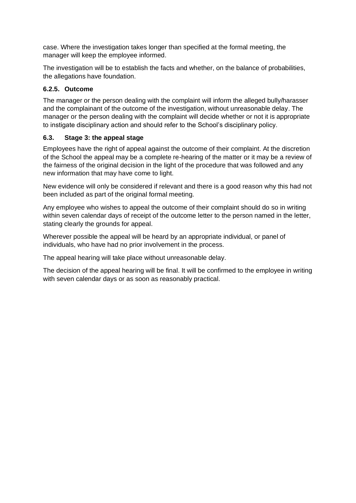case. Where the investigation takes longer than specified at the formal meeting, the manager will keep the employee informed.

The investigation will be to establish the facts and whether, on the balance of probabilities, the allegations have foundation.

#### <span id="page-5-0"></span>**6.2.5. Outcome**

The manager or the person dealing with the complaint will inform the alleged bully/harasser and the complainant of the outcome of the investigation, without unreasonable delay. The manager or the person dealing with the complaint will decide whether or not it is appropriate to instigate disciplinary action and should refer to the School's disciplinary policy.

#### <span id="page-5-1"></span>**6.3. Stage 3: the appeal stage**

Employees have the right of appeal against the outcome of their complaint. At the discretion of the School the appeal may be a complete re-hearing of the matter or it may be a review of the fairness of the original decision in the light of the procedure that was followed and any new information that may have come to light.

New evidence will only be considered if relevant and there is a good reason why this had not been included as part of the original formal meeting.

Any employee who wishes to appeal the outcome of their complaint should do so in writing within seven calendar days of receipt of the outcome letter to the person named in the letter, stating clearly the grounds for appeal.

Wherever possible the appeal will be heard by an appropriate individual, or panel of individuals, who have had no prior involvement in the process.

The appeal hearing will take place without unreasonable delay.

The decision of the appeal hearing will be final. It will be confirmed to the employee in writing with seven calendar days or as soon as reasonably practical.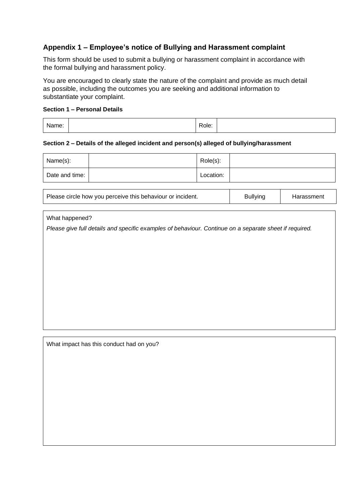# <span id="page-6-0"></span>**Appendix 1 – Employee's notice of Bullying and Harassment complaint**

This form should be used to submit a bullying or harassment complaint in accordance with the formal bullying and harassment policy.

You are encouraged to clearly state the nature of the complaint and provide as much detail as possible, including the outcomes you are seeking and additional information to substantiate your complaint.

#### **Section 1 – Personal Details**

| Name: |  | Role: |  |
|-------|--|-------|--|
|-------|--|-------|--|

#### **Section 2 – Details of the alleged incident and person(s) alleged of bullying/harassment**

| Name(s):       | Role(s):  |  |
|----------------|-----------|--|
| Date and time: | Location: |  |

| Please circle how you perceive this behaviour or incident. | <b>Bullying</b> | Harassment |
|------------------------------------------------------------|-----------------|------------|
|------------------------------------------------------------|-----------------|------------|

What happened?

*Please give full details and specific examples of behaviour. Continue on a separate sheet if required.* 

What impact has this conduct had on you?